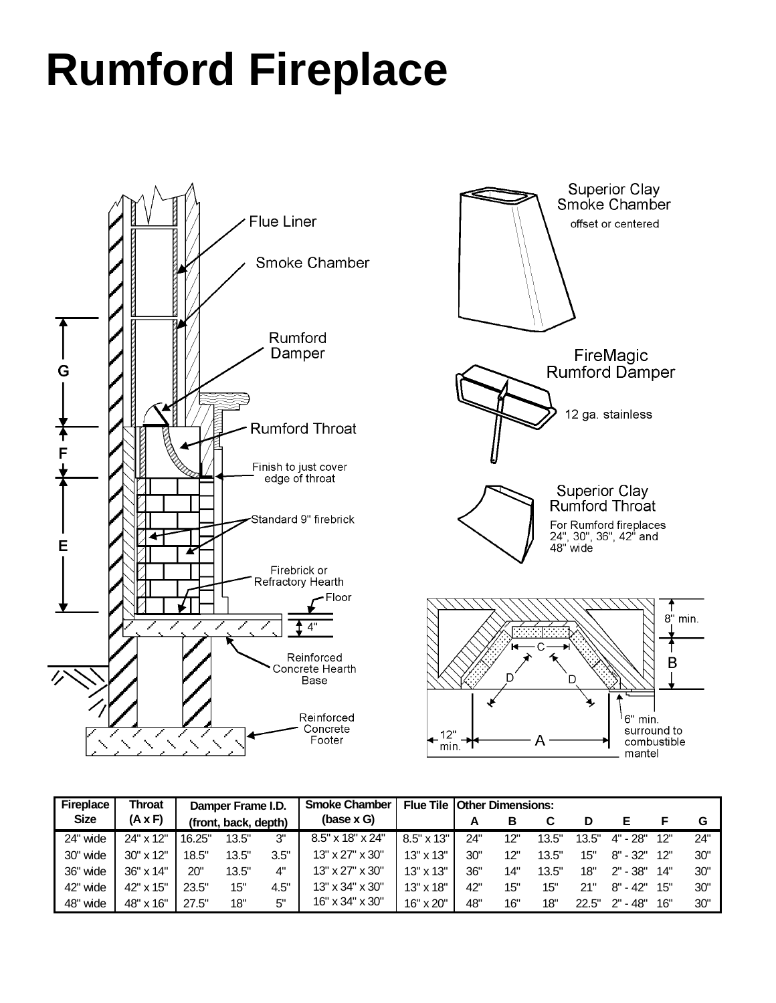## **Rumford Fireplace**





| <b>Fireplace</b> | Throat    | Damper Frame I.D.    |       |      | <b>Smoke Chamber</b> |                  | <b>Flue Tile Other Dimensions:</b> |     |       |       |            |     |     |  |
|------------------|-----------|----------------------|-------|------|----------------------|------------------|------------------------------------|-----|-------|-------|------------|-----|-----|--|
| <b>Size</b>      | (A x F)   | (front, back, depth) |       |      | $(base \times G)$    |                  | А                                  | В   |       | D     |            |     | G   |  |
| 24" wide         | 24" x 12" | 16.25"               | 13.5" | 3"   | 8.5" x 18" x 24"     | 8.5" x 13"       | 24"                                | 12" | 13.5" | 13.5" | 4" - 28"   | 12" | 24" |  |
| 30" wide         | 30" x 12" | 18.5"                | 13.5" | 3.5" | 13" x 27" x 30"      | $13" \times 13"$ | 30"                                | 12" | 13.5" | 15"   | $8" - 32"$ | 12" | 30" |  |
| 36" wide         | 36" x 14" | 20"                  | 13.5" | 4"   | 13" x 27" x 30"      | $13" \times 13"$ | 36"                                | 14" | 13.5" | 18"   | $2" - 38"$ | 14" | 30" |  |
| 42" wide         | 42" x 15" | 23.5"                | 15"   | 4.5" | 13" x 34" x 30"      | $13" \times 18"$ | 42"                                | 15" | 15"   | 21"   | $8" - 42"$ | 15" | 30" |  |
| 48" wide         | 48" x 16" | 27.5"                | 18"   | 5"   | 16" x 34" x 30"      | 16" x 20"        | 48"                                | 16" | 18"   | 22.5" | 2" - 48"   | 16" | 30" |  |